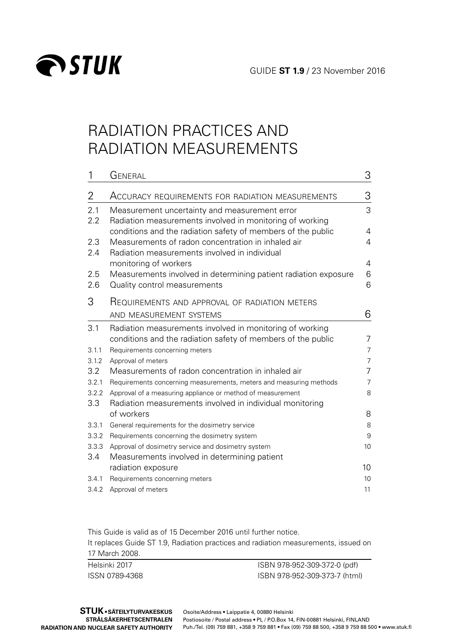



# RADIATION PRACTICES AND RADIATION MEASUREMENTS

| 1     | GENERAL                                                            | 3              |
|-------|--------------------------------------------------------------------|----------------|
| 2     | ACCURACY REQUIREMENTS FOR RADIATION MEASUREMENTS                   | 3              |
| 2.1   | Measurement uncertainty and measurement error                      | 3              |
| 2.2   | Radiation measurements involved in monitoring of working           |                |
|       | conditions and the radiation safety of members of the public       | 4              |
| 2.3   | Measurements of radon concentration in inhaled air                 | 4              |
| 2.4   | Radiation measurements involved in individual                      |                |
|       | monitoring of workers                                              | 4              |
| 2.5   | Measurements involved in determining patient radiation exposure    | 6              |
| 2.6   | Quality control measurements                                       | 6              |
| 3     | REQUIREMENTS AND APPROVAL OF RADIATION METERS                      |                |
|       | AND MEASUREMENT SYSTEMS                                            | 6              |
| 3.1   | Radiation measurements involved in monitoring of working           |                |
|       | conditions and the radiation safety of members of the public       | 7              |
| 3.1.1 | Requirements concerning meters                                     | $\overline{7}$ |
| 3.1.2 | Approval of meters                                                 | 7              |
| 3.2   | Measurements of radon concentration in inhaled air                 | 7              |
| 3.2.1 | Requirements concerning measurements, meters and measuring methods | 7              |
| 3.2.2 | Approval of a measuring appliance or method of measurement         | 8              |
| 3.3   | Radiation measurements involved in individual monitoring           |                |
|       | of workers                                                         | 8              |
| 3.3.1 | General requirements for the dosimetry service                     | 8              |
| 3.3.2 | Requirements concerning the dosimetry system                       | 9              |
| 3.3.3 | Approval of dosimetry service and dosimetry system                 | 10             |
| 3.4   | Measurements involved in determining patient                       |                |
|       | radiation exposure                                                 | 10             |
| 3.4.1 | Requirements concerning meters                                     | 10             |
| 3.4.2 | Approval of meters                                                 | 11             |

This Guide is valid as of 15 December 2016 until further notice.

It replaces Guide ST 1.9, Radiation practices and radiation measurements, issued on 17 March 2008.

| Helsinki 2017  | ISBN 978-952-309-372-0 (pdf)  |
|----------------|-------------------------------|
| ISSN 0789-4368 | ISBN 978-952-309-373-7 (html) |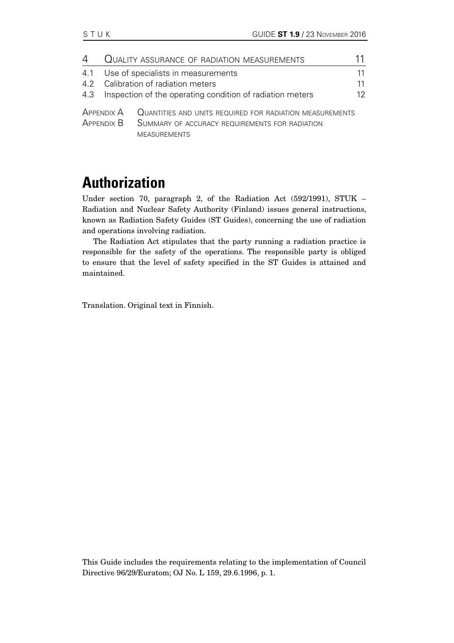| 4 | QUALITY ASSURANCE OF RADIATION MEASUREMENTS                         |    |
|---|---------------------------------------------------------------------|----|
|   | 4.1 Use of specialists in measurements                              | 11 |
|   | 4.2 Calibration of radiation meters                                 | 11 |
|   | 4.3 Inspection of the operating condition of radiation meters       | 12 |
|   | APPENDIX A QUANTITIES AND UNITS REQUIRED FOR RADIATION MEASUREMENTS |    |
|   | APPENDIX B SUMMARY OF ACCURACY REQUIREMENTS FOR RADIATION           |    |
|   | <b>MEASUREMENTS</b>                                                 |    |

## **Authorization**

Under section 70, paragraph 2, of the Radiation Act (592/1991), STUK – Radiation and Nuclear Safety Authority (Finland) issues general instructions, known as Radiation Safety Guides (ST Guides), concerning the use of radiation and operations involving radiation.

The Radiation Act stipulates that the party running a radiation practice is responsible for the safety of the operations. The responsible party is obliged to ensure that the level of safety specified in the ST Guides is attained and maintained.

Translation. Original text in Finnish.

This Guide includes the requirements relating to the implementation of Council Directive 96/29/Euratom; OJ No. L 159, 29.6.1996, p. 1.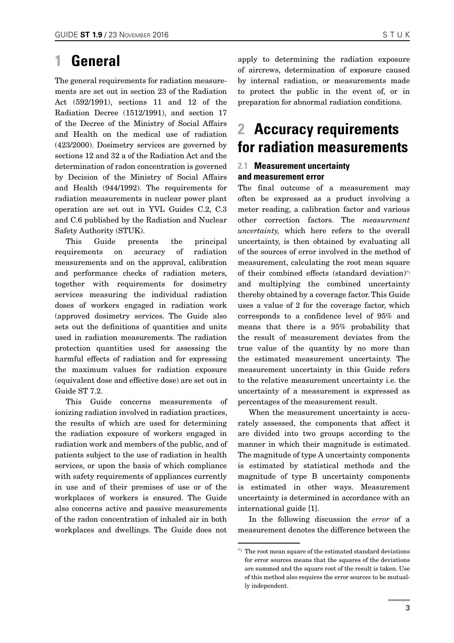## <span id="page-2-0"></span>**1 General**

The general requirements for radiation measurements are set out in section 23 of the Radiation Act (592/1991), sections 11 and 12 of the Radiation Decree (1512/1991), and section 17 of the Decree of the Ministry of Social Affairs and Health on the medical use of radiation (423/2000). Dosimetry services are governed by sections 12 and 32 a of the Radiation Act and the determination of radon concentration is governed by Decision of the Ministry of Social Affairs and Health (944/1992). The requirements for radiation measurements in nuclear power plant operation are set out in YVL Guides C.2, C.3 and C.6 published by the Radiation and Nuclear Safety Authority (STUK).

This Guide presents the principal requirements on accuracy of radiation measurements and on the approval, calibration and performance checks of radiation meters, together with requirements for dosimetry services measuring the individual radiation doses of workers engaged in radiation work (approved dosimetry services. The Guide also sets out the definitions of quantities and units used in radiation measurements. The radiation protection quantities used for assessing the harmful effects of radiation and for expressing the maximum values for radiation exposure (equivalent dose and effective dose) are set out in Guide ST 7.2.

This Guide concerns measurements of ionizing radiation involved in radiation practices, the results of which are used for determining the radiation exposure of workers engaged in radiation work and members of the public, and of patients subject to the use of radiation in health services, or upon the basis of which compliance with safety requirements of appliances currently in use and of their premises of use or of the workplaces of workers is ensured. The Guide also concerns active and passive measurements of the radon concentration of inhaled air in both workplaces and dwellings. The Guide does not

apply to determining the radiation exposure of aircrews, determination of exposure caused by internal radiation, or measurements made to protect the public in the event of, or in preparation for abnormal radiation conditions.

# **2 Accuracy requirements for radiation measurements**

## **2.1 Measurement uncertainty and measurement error**

The final outcome of a measurement may often be expressed as a product involving a meter reading, a calibration factor and various other correction factors. The *measurement uncertainty,* which here refers to the overall uncertainty, is then obtained by evaluating all of the sources of error involved in the method of measurement, calculating the root mean square of their combined effects (standard deviation)\*) and multiplying the combined uncertainty thereby obtained by a coverage factor. This Guide uses a value of 2 for the coverage factor, which corresponds to a confidence level of 95% and means that there is a 95% probability that the result of measurement deviates from the true value of the quantity by no more than the estimated measurement uncertainty. The measurement uncertainty in this Guide refers to the relative measurement uncertainty i.e. the uncertainty of a measurement is expressed as percentages of the measurement result.

When the measurement uncertainty is accurately assessed, the components that affect it are divided into two groups according to the manner in which their magnitude is estimated. The magnitude of type A uncertainty components is estimated by statistical methods and the magnitude of type B uncertainty components is estimated in other ways. Measurement uncertainty is determined in accordance with an international guide [1].

In the following discussion the *error* of a measurement denotes the difference between the

<sup>\*)</sup> The root mean square of the estimated standard deviations for error sources means that the squares of the deviations are summed and the square root of the result is taken. Use of this method also requires the error sources to be mutually independent.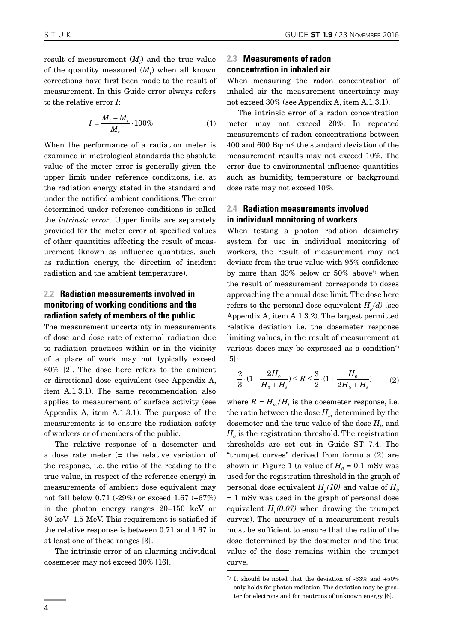<span id="page-3-0"></span>result of measurement  $(M_i)$  and the true value of the quantity measured  $(M_t)$  when all known corrections have first been made to the result of measurement. In this Guide error always refers to the relative error *I*:

$$
I = \frac{M_i - M_t}{M_t} \cdot 100\%
$$
 (1)

When the performance of a radiation meter is examined in metrological standards the absolute value of the meter error is generally given the upper limit under reference conditions, i.e. at the radiation energy stated in the standard and under the notified ambient conditions. The error determined under reference conditions is called the *intrinsic error*. Upper limits are separately provided for the meter error at specified values of other quantities affecting the result of measurement (known as influence quantities, such as radiation energy, the direction of incident radiation and the ambient temperature).

## **2.2 Radiation measurements involved in monitoring of working conditions and the radiation safety of members of the public**

The measurement uncertainty in measurements of dose and dose rate of external radiation due to radiation practices within or in the vicinity of a place of work may not typically exceed 60% [2]. The dose here refers to the ambient or directional dose equivalent (see Appendix A, item A.1.3.1). The same recommendation also applies to measurement of surface activity (see Appendix A, item A.1.3.1). The purpose of the measurements is to ensure the radiation safety of workers or of members of the public.

The relative response of a dosemeter and a dose rate meter (= the relative variation of the response, i.e. the ratio of the reading to the true value, in respect of the reference energy) in measurements of ambient dose equivalent may not fall below 0.71 (-29%) or exceed 1.67 (+67%) in the photon energy ranges 20–150 keV or 80 keV–1.5 MeV. This requirement is satisfied if the relative response is between 0.71 and 1.67 in at least one of these ranges [3].

The intrinsic error of an alarming individual dosemeter may not exceed 30% [16].

## **2.3 Measurements of radon concentration in inhaled air**

When measuring the radon concentration of inhaled air the measurement uncertainty may not exceed 30% (see Appendix A, item A.1.3.1).

The intrinsic error of a radon concentration meter may not exceed 20%. In repeated measurements of radon concentrations between 400 and 600 Bq∙m-3 the standard deviation of the measurement results may not exceed 10%. The error due to environmental influence quantities such as humidity, temperature or background dose rate may not exceed 10%.

## **2.4 Radiation measurements involved in individual monitoring of workers**

When testing a photon radiation dosimetry system for use in individual monitoring of workers, the result of measurement may not deviate from the true value with 95% confidence by more than 33% below or 50% above\*) when the result of measurement corresponds to doses approaching the annual dose limit. The dose here refers to the personal dose equivalent  $H_n(d)$  (see Appendix A, item A.1.3.2). The largest permitted relative deviation i.e. the dosemeter response limiting values, in the result of measurement at various doses may be expressed as a condition\*) [5]:

$$
\frac{2}{3} \cdot (1 - \frac{2H_0}{H_0 + H_t}) \le R \le \frac{3}{2} \cdot (1 + \frac{H_0}{2H_0 + H_t})
$$
(2)

where  $R = H_m/H_t$  is the dosemeter response, i.e. the ratio between the dose  $H_m$  determined by the dosemeter and the true value of the dose  $H_t$ , and  $H<sub>0</sub>$  is the registration threshold. The registration thresholds are set out in Guide ST 7.4. The "trumpet curves" derived from formula (2) are shown in Figure 1 (a value of  $H_0 = 0.1$  mSv was used for the registration threshold in the graph of personal dose equivalent  $H_p(10)$  and value of  $H_p$ = 1 mSv was used in the graph of personal dose equivalent  $H_p(0.07)$  when drawing the trumpet curves). The accuracy of a measurement result must be sufficient to ensure that the ratio of the dose determined by the dosemeter and the true value of the dose remains within the trumpet curve.

 $*$ ) It should be noted that the deviation of -33% and +50% only holds for photon radiation. The deviation may be greater for electrons and for neutrons of unknown energy [6].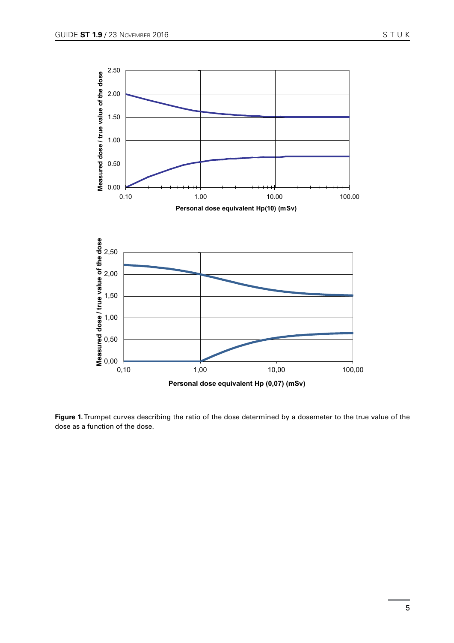

**Figure 1.** Trumpet curves describing the ratio of the dose determined by a dosemeter to the true value of the dose as a function of the dose.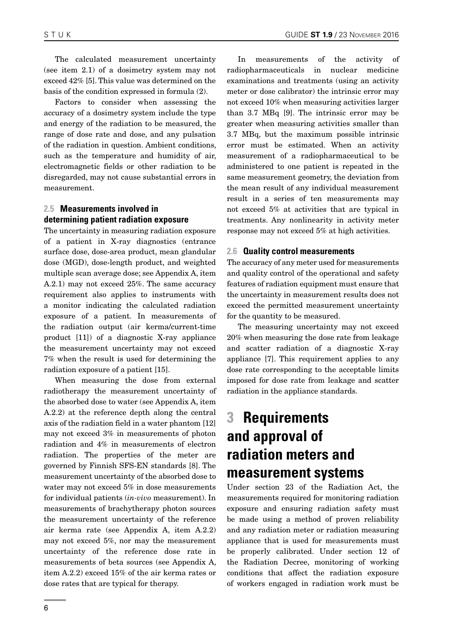<span id="page-5-0"></span>The calculated measurement uncertainty (see item 2.1) of a dosimetry system may not exceed 42% [5]. This value was determined on the basis of the condition expressed in formula (2).

Factors to consider when assessing the accuracy of a dosimetry system include the type and energy of the radiation to be measured, the range of dose rate and dose, and any pulsation of the radiation in question. Ambient conditions, such as the temperature and humidity of air, electromagnetic fields or other radiation to be disregarded, may not cause substantial errors in measurement.

## **2.5 Measurements involved in determining patient radiation exposure**

The uncertainty in measuring radiation exposure of a patient in X-ray diagnostics (entrance surface dose, dose-area product, mean glandular dose (MGD), dose-length product, and weighted multiple scan average dose; see Appendix A, item A.2.1) may not exceed 25%. The same accuracy requirement also applies to instruments with a monitor indicating the calculated radiation exposure of a patient. In measurements of the radiation output (air kerma/current-time product [11]) of a diagnostic X-ray appliance the measurement uncertainty may not exceed 7% when the result is used for determining the radiation exposure of a patient [15].

When measuring the dose from external radiotherapy the measurement uncertainty of the absorbed dose to water (see Appendix A, item A.2.2) at the reference depth along the central axis of the radiation field in a water phantom [12] may not exceed 3% in measurements of photon radiation and 4% in measurements of electron radiation. The properties of the meter are governed by Finnish SFS-EN standards [8]. The measurement uncertainty of the absorbed dose to water may not exceed 5% in dose measurements for individual patients (*in-vivo* measurement). In measurements of brachytherapy photon sources the measurement uncertainty of the reference air kerma rate (see Appendix A, item A.2.2) may not exceed 5%, nor may the measurement uncertainty of the reference dose rate in measurements of beta sources (see Appendix A, item A.2.2) exceed 15% of the air kerma rates or dose rates that are typical for therapy.

In measurements of the activity of radiopharmaceuticals in nuclear medicine examinations and treatments (using an activity meter or dose calibrator) the intrinsic error may not exceed 10% when measuring activities larger than 3.7 MBq [9]. The intrinsic error may be greater when measuring activities smaller than 3.7 MBq, but the maximum possible intrinsic error must be estimated. When an activity measurement of a radiopharmaceutical to be administered to one patient is repeated in the same measurement geometry, the deviation from the mean result of any individual measurement result in a series of ten measurements may not exceed 5% at activities that are typical in treatments. Any nonlinearity in activity meter response may not exceed 5% at high activities.

## **2.6 Quality control measurements**

The accuracy of any meter used for measurements and quality control of the operational and safety features of radiation equipment must ensure that the uncertainty in measurement results does not exceed the permitted measurement uncertainty for the quantity to be measured.

The measuring uncertainty may not exceed 20% when measuring the dose rate from leakage and scatter radiation of a diagnostic X-ray appliance [7]. This requirement applies to any dose rate corresponding to the acceptable limits imposed for dose rate from leakage and scatter radiation in the appliance standards.

# **3 Requirements and approval of radiation meters and measurement systems**

Under section 23 of the Radiation Act, the measurements required for monitoring radiation exposure and ensuring radiation safety must be made using a method of proven reliability and any radiation meter or radiation measuring appliance that is used for measurements must be properly calibrated. Under section 12 of the Radiation Decree, monitoring of working conditions that affect the radiation exposure of workers engaged in radiation work must be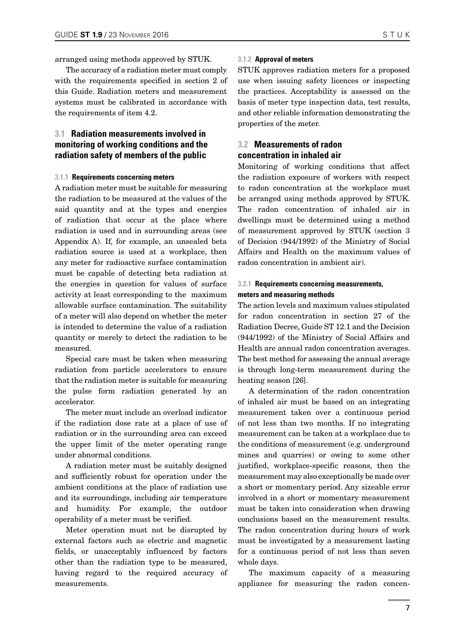<span id="page-6-0"></span>arranged using methods approved by STUK.

The accuracy of a radiation meter must comply with the requirements specified in section 2 of this Guide. Radiation meters and measurement systems must be calibrated in accordance with the requirements of item 4.2.

## **3.1 Radiation measurements involved in monitoring of working conditions and the radiation safety of members of the public**

#### **3.1.1 Requirements concerning meters**

A radiation meter must be suitable for measuring the radiation to be measured at the values of the said quantity and at the types and energies of radiation that occur at the place where radiation is used and in surrounding areas (see Appendix A). If, for example, an unsealed beta radiation source is used at a workplace, then any meter for radioactive surface contamination must be capable of detecting beta radiation at the energies in question for values of surface activity at least corresponding to the maximum allowable surface contamination. The suitability of a meter will also depend on whether the meter is intended to determine the value of a radiation quantity or merely to detect the radiation to be measured.

Special care must be taken when measuring radiation from particle accelerators to ensure that the radiation meter is suitable for measuring the pulse form radiation generated by an accelerator.

The meter must include an overload indicator if the radiation dose rate at a place of use of radiation or in the surrounding area can exceed the upper limit of the meter operating range under abnormal conditions.

A radiation meter must be suitably designed and sufficiently robust for operation under the ambient conditions at the place of radiation use and its surroundings, including air temperature and humidity. For example, the outdoor operability of a meter must be verified.

Meter operation must not be disrupted by external factors such as electric and magnetic fields, or unacceptably influenced by factors other than the radiation type to be measured, having regard to the required accuracy of measurements.

#### **3.1.2 Approval of meters**

STUK approves radiation meters for a proposed use when issuing safety licences or inspecting the practices. Acceptability is assessed on the basis of meter type inspection data, test results, and other reliable information demonstrating the properties of the meter.

## **3.2 Measurements of radon concentration in inhaled air**

Monitoring of working conditions that affect the radiation exposure of workers with respect to radon concentration at the workplace must be arranged using methods approved by STUK. The radon concentration of inhaled air in dwellings must be determined using a method of measurement approved by STUK (section 3 of Decision (944/1992) of the Ministry of Social Affairs and Health on the maximum values of radon concentration in ambient air).

#### **3.2.1 Requirements concerning measurements, meters and measuring methods**

The action levels and maximum values stipulated for radon concentration in section 27 of the Radiation Decree, Guide ST 12.1 and the Decision (944/1992) of the Ministry of Social Affairs and Health are annual radon concentration averages. The best method for assessing the annual average is through long-term measurement during the heating season [26].

A determination of the radon concentration of inhaled air must be based on an integrating measurement taken over a continuous period of not less than two months. If no integrating measurement can be taken at a workplace due to the conditions of measurement (e.g. underground mines and quarries) or owing to some other justified, workplace-specific reasons, then the measurement may also exceptionally be made over a short or momentary period. Any sizeable error involved in a short or momentary measurement must be taken into consideration when drawing conclusions based on the measurement results. The radon concentration during hours of work must be investigated by a measurement lasting for a continuous period of not less than seven whole days.

The maximum capacity of a measuring appliance for measuring the radon concen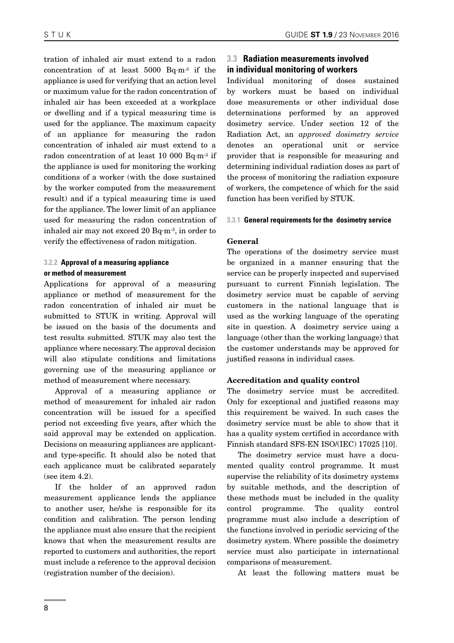<span id="page-7-0"></span>tration of inhaled air must extend to a radon concentration of at least 5000 Bq⋅m-3 if the appliance is used for verifying that an action level or maximum value for the radon concentration of inhaled air has been exceeded at a workplace or dwelling and if a typical measuring time is used for the appliance. The maximum capacity of an appliance for measuring the radon concentration of inhaled air must extend to a radon concentration of at least 10 000 Bq⋅m-3 if the appliance is used for monitoring the working conditions of a worker (with the dose sustained by the worker computed from the measurement result) and if a typical measuring time is used for the appliance. The lower limit of an appliance used for measuring the radon concentration of inhaled air may not exceed 20 Bq·m-3, in order to verify the effectiveness of radon mitigation.

## **3.2.2 Approval of a measuring appliance or method of measurement**

Applications for approval of a measuring appliance or method of measurement for the radon concentration of inhaled air must be submitted to STUK in writing. Approval will be issued on the basis of the documents and test results submitted. STUK may also test the appliance where necessary. The approval decision will also stipulate conditions and limitations governing use of the measuring appliance or method of measurement where necessary.

Approval of a measuring appliance or method of measurement for inhaled air radon concentration will be issued for a specified period not exceeding five years, after which the said approval may be extended on application. Decisions on measuring appliances are applicantand type-specific. It should also be noted that each applicance must be calibrated separately (see item 4.2).

If the holder of an approved radon measurement applicance lends the appliance to another user, he/she is responsible for its condition and calibration. The person lending the appliance must also ensure that the recipient knows that when the measurement results are reported to customers and authorities, the report must include a reference to the approval decision (registration number of the decision).

## **3.3 Radiation measurements involved in individual monitoring of workers**

Individual monitoring of doses sustained by workers must be based on individual dose measurements or other individual dose determinations performed by an approved dosimetry service. Under section 12 of the Radiation Act, an *approved dosimetry service* denotes an operational unit or service provider that is responsible for measuring and determining individual radiation doses as part of the process of monitoring the radiation exposure of workers, the competence of which for the said function has been verified by STUK.

#### **3.3.1 General requirements for the dosimetry service**

## General

The operations of the dosimetry service must be organized in a manner ensuring that the service can be properly inspected and supervised pursuant to current Finnish legislation. The dosimetry service must be capable of serving customers in the national language that is used as the working language of the operating site in question. A dosimetry service using a language (other than the working language) that the customer understands may be approved for justified reasons in individual cases.

## Accreditation and quality control

The dosimetry service must be accredited. Only for exceptional and justified reasons may this requirement be waived. In such cases the dosimetry service must be able to show that it has a quality system certified in accordance with Finnish standard SFS-EN ISO/(IEC) 17025 [10].

The dosimetry service must have a documented quality control programme. It must supervise the reliability of its dosimetry systems by suitable methods, and the description of these methods must be included in the quality control programme. The quality control programme must also include a description of the functions involved in periodic servicing of the dosimetry system. Where possible the dosimetry service must also participate in international comparisons of measurement.

At least the following matters must be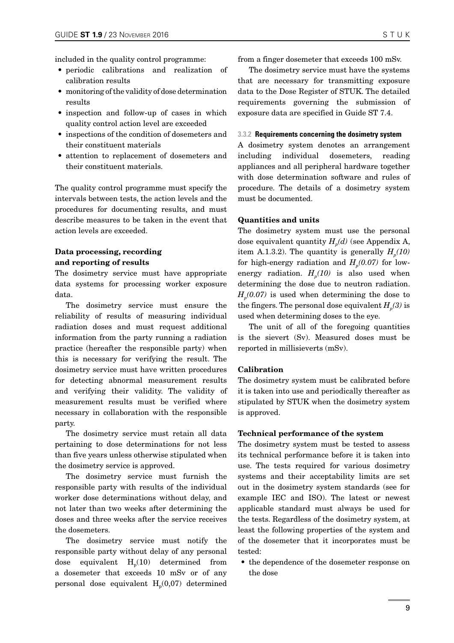- <span id="page-8-0"></span>• periodic calibrations and realization of calibration results
- monitoring of the validity of dose determination results
- inspection and follow-up of cases in which quality control action level are exceeded
- inspections of the condition of dosemeters and their constituent materials
- attention to replacement of dosemeters and their constituent materials.

The quality control programme must specify the intervals between tests, the action levels and the procedures for documenting results, and must describe measures to be taken in the event that action levels are exceeded.

## Data processing, recording and reporting of results

The dosimetry service must have appropriate data systems for processing worker exposure data.

The dosimetry service must ensure the reliability of results of measuring individual radiation doses and must request additional information from the party running a radiation practice (hereafter the responsible party) when this is necessary for verifying the result. The dosimetry service must have written procedures for detecting abnormal measurement results and verifying their validity. The validity of measurement results must be verified where necessary in collaboration with the responsible party.

The dosimetry service must retain all data pertaining to dose determinations for not less than five years unless otherwise stipulated when the dosimetry service is approved.

The dosimetry service must furnish the responsible party with results of the individual worker dose determinations without delay, and not later than two weeks after determining the doses and three weeks after the service receives the dosemeters.

The dosimetry service must notify the responsible party without delay of any personal dose equivalent  $H_p(10)$  determined from a dosemeter that exceeds 10 mSv or of any personal dose equivalent  $H<sub>n</sub>(0,07)$  determined from a finger dosemeter that exceeds 100 mSv.

The dosimetry service must have the systems that are necessary for transmitting exposure data to the Dose Register of STUK. The detailed requirements governing the submission of exposure data are specified in Guide ST 7.4.

#### **3.3.2 Requirements concerning the dosimetry system**

A dosimetry system denotes an arrangement including individual dosemeters, reading appliances and all peripheral hardware together with dose determination software and rules of procedure. The details of a dosimetry system must be documented.

#### Quantities and units

The dosimetry system must use the personal dose equivalent quantity  $H_n(d)$  (see Appendix A, item A.1.3.2). The quantity is generally  $H_p(10)$ for high-energy radiation and  $H_p(0.07)$  for lowenergy radiation.  $H<sub>n</sub>(10)$  is also used when determining the dose due to neutron radiation.  $H_p(0.07)$  is used when determining the dose to the fingers. The personal dose equivalent  $H_n(3)$  is used when determining doses to the eye.

The unit of all of the foregoing quantities is the sievert (Sv). Measured doses must be reported in millisieverts (mSv).

## **Calibration**

The dosimetry system must be calibrated before it is taken into use and periodically thereafter as stipulated by STUK when the dosimetry system is approved.

#### Technical performance of the system

The dosimetry system must be tested to assess its technical performance before it is taken into use. The tests required for various dosimetry systems and their acceptability limits are set out in the dosimetry system standards (see for example IEC and ISO). The latest or newest applicable standard must always be used for the tests. Regardless of the dosimetry system, at least the following properties of the system and of the dosemeter that it incorporates must be tested:

• the dependence of the dosemeter response on the dose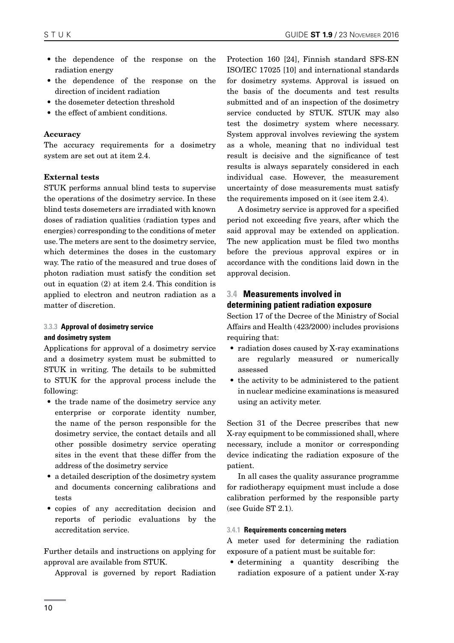- <span id="page-9-0"></span>• the dependence of the response on the radiation energy
- the dependence of the response on the direction of incident radiation
- the dosemeter detection threshold
- the effect of ambient conditions.

## Accuracy

The accuracy requirements for a dosimetry system are set out at item 2.4.

## External tests

STUK performs annual blind tests to supervise the operations of the dosimetry service. In these blind tests dosemeters are irradiated with known doses of radiation qualities (radiation types and energies) corresponding to the conditions of meter use. The meters are sent to the dosimetry service, which determines the doses in the customary way. The ratio of the measured and true doses of photon radiation must satisfy the condition set out in equation (2) at item 2.4. This condition is applied to electron and neutron radiation as a matter of discretion.

## **3.3.3 Approval of dosimetry service and dosimetry system**

Applications for approval of a dosimetry service and a dosimetry system must be submitted to STUK in writing. The details to be submitted to STUK for the approval process include the following:

- the trade name of the dosimetry service any enterprise or corporate identity number, the name of the person responsible for the dosimetry service, the contact details and all other possible dosimetry service operating sites in the event that these differ from the address of the dosimetry service
- a detailed description of the dosimetry system and documents concerning calibrations and tests
- • copies of any accreditation decision and reports of periodic evaluations by the accreditation service.

Further details and instructions on applying for approval are available from STUK.

Approval is governed by report Radiation

Protection 160 [24], Finnish standard SFS-EN ISO/IEC 17025 [10] and international standards for dosimetry systems. Approval is issued on the basis of the documents and test results submitted and of an inspection of the dosimetry service conducted by STUK. STUK may also test the dosimetry system where necessary. System approval involves reviewing the system as a whole, meaning that no individual test result is decisive and the significance of test results is always separately considered in each individual case. However, the measurement uncertainty of dose measurements must satisfy the requirements imposed on it (see item 2.4).

A dosimetry service is approved for a specified period not exceeding five years, after which the said approval may be extended on application. The new application must be filed two months before the previous approval expires or in accordance with the conditions laid down in the approval decision.

## **3.4 Measurements involved in determining patient radiation exposure**

Section 17 of the Decree of the Ministry of Social Affairs and Health (423/2000) includes provisions requiring that:

- radiation doses caused by X-ray examinations are regularly measured or numerically assessed
- the activity to be administered to the patient in nuclear medicine examinations is measured using an activity meter.

Section 31 of the Decree prescribes that new X-ray equipment to be commissioned shall, where necessary, include a monitor or corresponding device indicating the radiation exposure of the patient.

In all cases the quality assurance programme for radiotherapy equipment must include a dose calibration performed by the responsible party (see Guide ST 2.1).

#### **3.4.1 Requirements concerning meters**

A meter used for determining the radiation exposure of a patient must be suitable for:

• determining a quantity describing the radiation exposure of a patient under X-ray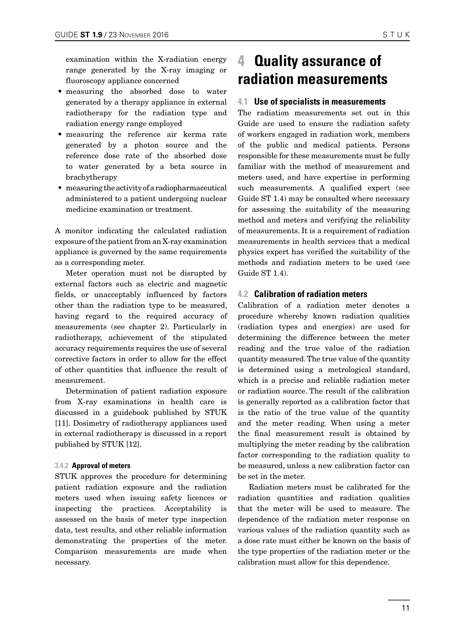<span id="page-10-0"></span>examination within the X-radiation energy range generated by the X-ray imaging or fluoroscopy appliance concerned

- measuring the absorbed dose to water generated by a therapy appliance in external radiotherapy for the radiation type and radiation energy range employed
- measuring the reference air kerma rate generated by a photon source and the reference dose rate of the absorbed dose to water generated by a beta source in brachytherapy
- measuring the activity of a radiopharmaceutical administered to a patient undergoing nuclear medicine examination or treatment.

A monitor indicating the calculated radiation exposure of the patient from an X-ray examination appliance is governed by the same requirements as a corresponding meter.

Meter operation must not be disrupted by external factors such as electric and magnetic fields, or unacceptably influenced by factors other than the radiation type to be measured, having regard to the required accuracy of measurements (see chapter 2). Particularly in radiotherapy, achievement of the stipulated accuracy requirements requires the use of several corrective factors in order to allow for the effect of other quantities that influence the result of measurement.

Determination of patient radiation exposure from X-ray examinations in health care is discussed in a guidebook published by STUK [11]. Dosimetry of radiotherapy appliances used in external radiotherapy is discussed in a report published by STUK [12].

#### **3.4.2 Approval of meters**

STUK approves the procedure for determining patient radiation exposure and the radiation meters used when issuing safety licences or inspecting the practices. Acceptability is assessed on the basis of meter type inspection data, test results, and other reliable information demonstrating the properties of the meter. Comparison measurements are made when necessary.

## **4 Quality assurance of radiation measurements**

## **4.1 Use of specialists in measurements**

The radiation measurements set out in this Guide are used to ensure the radiation safety of workers engaged in radiation work, members of the public and medical patients. Persons responsible for these measurements must be fully familiar with the method of measurement and meters used, and have expertise in performing such measurements. A qualified expert (see Guide ST 1.4) may be consulted where necessary for assessing the suitability of the measuring method and meters and verifying the reliability of measurements. It is a requirement of radiation measurements in health services that a medical physics expert has verified the suitability of the methods and radiation meters to be used (see Guide ST 1.4).

## **4.2 Calibration of radiation meters**

Calibration of a radiation meter denotes a procedure whereby known radiation qualities (radiation types and energies) are used for determining the difference between the meter reading and the true value of the radiation quantity measured. The true value of the quantity is determined using a metrological standard, which is a precise and reliable radiation meter or radiation source. The result of the calibration is generally reported as a calibration factor that is the ratio of the true value of the quantity and the meter reading. When using a meter the final measurement result is obtained by multiplying the meter reading by the calibration factor corresponding to the radiation quality to be measured, unless a new calibration factor can be set in the meter.

Radiation meters must be calibrated for the radiation quantities and radiation qualities that the meter will be used to measure. The dependence of the radiation meter response on various values of the radiation quantity such as a dose rate must either be known on the basis of the type properties of the radiation meter or the calibration must allow for this dependence.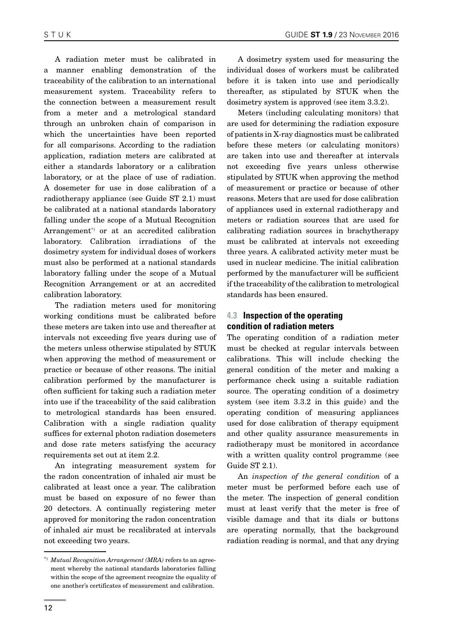<span id="page-11-0"></span>A radiation meter must be calibrated in a manner enabling demonstration of the traceability of the calibration to an international measurement system. Traceability refers to the connection between a measurement result from a meter and a metrological standard through an unbroken chain of comparison in which the uncertainties have been reported for all comparisons. According to the radiation application, radiation meters are calibrated at either a standards laboratory or a calibration laboratory, or at the place of use of radiation. A dosemeter for use in dose calibration of a radiotherapy appliance (see Guide ST 2.1) must be calibrated at a national standards laboratory falling under the scope of a Mutual Recognition Arrangement\*) or at an accredited calibration laboratory. Calibration irradiations of the dosimetry system for individual doses of workers must also be performed at a national standards laboratory falling under the scope of a Mutual Recognition Arrangement or at an accredited calibration laboratory.

The radiation meters used for monitoring working conditions must be calibrated before these meters are taken into use and thereafter at intervals not exceeding five years during use of the meters unless otherwise stipulated by STUK when approving the method of measurement or practice or because of other reasons. The initial calibration performed by the manufacturer is often sufficient for taking such a radiation meter into use if the traceability of the said calibration to metrological standards has been ensured. Calibration with a single radiation quality suffices for external photon radiation dosemeters and dose rate meters satisfying the accuracy requirements set out at item 2.2.

An integrating measurement system for the radon concentration of inhaled air must be calibrated at least once a year. The calibration must be based on exposure of no fewer than 20 detectors. A continually registering meter approved for monitoring the radon concentration of inhaled air must be recalibrated at intervals not exceeding two years.

A dosimetry system used for measuring the individual doses of workers must be calibrated before it is taken into use and periodically thereafter, as stipulated by STUK when the dosimetry system is approved (see item 3.3.2).

Meters (including calculating monitors) that are used for determining the radiation exposure of patients in X-ray diagnostics must be calibrated before these meters (or calculating monitors) are taken into use and thereafter at intervals not exceeding five years unless otherwise stipulated by STUK when approving the method of measurement or practice or because of other reasons. Meters that are used for dose calibration of appliances used in external radiotherapy and meters or radiation sources that are used for calibrating radiation sources in brachytherapy must be calibrated at intervals not exceeding three years. A calibrated activity meter must be used in nuclear medicine. The initial calibration performed by the manufacturer will be sufficient if the traceability of the calibration to metrological standards has been ensured.

## **4.3 Inspection of the operating condition of radiation meters**

The operating condition of a radiation meter must be checked at regular intervals between calibrations. This will include checking the general condition of the meter and making a performance check using a suitable radiation source. The operating condition of a dosimetry system (see item 3.3.2 in this guide) and the operating condition of measuring appliances used for dose calibration of therapy equipment and other quality assurance measurements in radiotherapy must be monitored in accordance with a written quality control programme (see Guide ST 2.1).

An *inspection of the general condition* of a meter must be performed before each use of the meter. The inspection of general condition must at least verify that the meter is free of visible damage and that its dials or buttons are operating normally, that the background radiation reading is normal, and that any drying

<sup>\*)</sup> *Mutual Recognition Arrangement (MRA)* refers to an agreement whereby the national standards laboratories falling within the scope of the agreement recognize the equality of one another's certificates of measurement and calibration.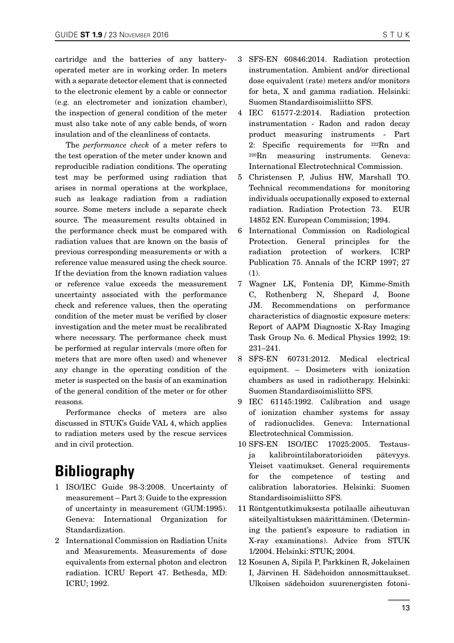cartridge and the batteries of any batteryoperated meter are in working order. In meters with a separate detector element that is connected to the electronic element by a cable or connector (e.g. an electrometer and ionization chamber), the inspection of general condition of the meter must also take note of any cable bends, of worn insulation and of the cleanliness of contacts.

The *performance check* of a meter refers to the test operation of the meter under known and reproducible radiation conditions. The operating test may be performed using radiation that arises in normal operations at the workplace, such as leakage radiation from a radiation source. Some meters include a separate check source. The measurement results obtained in the performance check must be compared with radiation values that are known on the basis of previous corresponding measurements or with a reference value measured using the check source. If the deviation from the known radiation values or reference value exceeds the measurement uncertainty associated with the performance check and reference values, then the operating condition of the meter must be verified by closer investigation and the meter must be recalibrated where necessary. The performance check must be performed at regular intervals (more often for meters that are more often used) and whenever any change in the operating condition of the meter is suspected on the basis of an examination of the general condition of the meter or for other reasons.

Performance checks of meters are also discussed in STUK's Guide VAL 4, which applies to radiation meters used by the rescue services and in civil protection.

## **Bibliography**

- 1 ISO/IEC Guide 98-3:2008. Uncertainty of measurement – Part 3: Guide to the expression of uncertainty in measurement (GUM:1995). Geneva: International Organization for Standardization.
- 2 International Commission on Radiation Units and Measurements. Measurements of dose equivalents from external photon and electron radiation. ICRU Report 47. Bethesda, MD: ICRU; 1992.
- 3 SFS-EN 60846:2014. Radiation protection instrumentation. Ambient and/or directional dose equivalent (rate) meters and/or monitors for beta, X and gamma radiation. Helsinki: Suomen Standardisoimisliitto SFS.
- 4 IEC 61577-2:2014. Radiation protection instrumentation - Radon and radon decay product measuring instruments - Part 2: Specific requirements for 222Rn and 220Rn measuring instruments. Geneva: International Electrotechnical Commission.
- 5 Christensen P, Julius HW, Marshall TO. Technical recommendations for monitoring individuals occupationally exposed to external radiation. Radiation Protection 73. EUR 14852 EN. European Commission; 1994.
- 6 International Commission on Radiological Protection. General principles for the radiation protection of workers. ICRP Publication 75. Annals of the ICRP 1997; 27 (1).
- 7 Wagner LK, Fontenia DP, Kimme-Smith C, Rothenberg N, Shepard J, Boone JM. Recommendations on performance characteristics of diagnostic exposure meters: Report of AAPM Diagnostic X-Ray Imaging Task Group No. 6. Medical Physics 1992; 19: 231–241.
- 8 SFS-EN 60731:2012. Medical electrical equipment. – Dosimeters with ionization chambers as used in radiotherapy. Helsinki: Suomen Standardisoimisliitto SFS.
- 9 IEC 61145:1992. Calibration and usage of ionization chamber systems for assay of radionuclides. Geneva: International Electrotechnical Commission.
- 10 SFS-EN ISO/IEC 17025:2005. Testausja kalibrointilaboratorioiden pätevyys. Yleiset vaatimukset. General requirements for the competence of testing and calibration laboratories. Helsinki: Suomen Standardisoimisliitto SFS.
- 11 Röntgentutkimuksesta potilaalle aiheutuvan säteilyaltistuksen määrittäminen. (Determining the patient's exposure to radiation in X-ray examinations). Advice from STUK 1/2004. Helsinki: STUK; 2004.
- 12 Kosunen A, Sipilä P, Parkkinen R, Jokelainen I, Järvinen H. Sädehoidon annosmittaukset. Ulkoisen sädehoidon suurenergisten fotoni-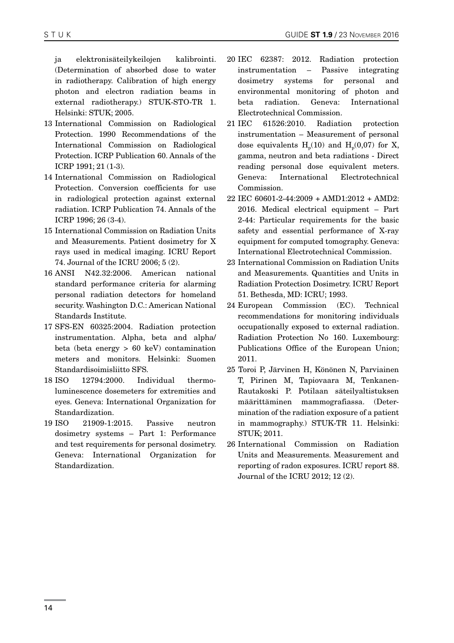ja elektronisäteilykeilojen kalibrointi. (Determination of absorbed dose to water in radiotherapy. Calibration of high energy photon and electron radiation beams in external radiotherapy.) STUK-STO-TR 1. Helsinki: STUK; 2005.

- 13 International Commission on Radiological Protection. 1990 Recommendations of the International Commission on Radiological Protection. ICRP Publication 60. Annals of the ICRP 1991; 21 (1-3).
- 14 International Commission on Radiological Protection. Conversion coefficients for use in radiological protection against external radiation. ICRP Publication 74. Annals of the ICRP 1996; 26 (3-4).
- 15 International Commission on Radiation Units and Measurements. Patient dosimetry for X rays used in medical imaging. ICRU Report 74. Journal of the ICRU 2006; 5 (2).
- 16 ANSI N42.32:2006. American national standard performance criteria for alarming personal radiation detectors for homeland security. Washington D.C.: American National Standards Institute.
- 17 SFS-EN 60325:2004. Radiation protection instrumentation. Alpha, beta and alpha/ beta (beta energy > 60 keV) contamination meters and monitors. Helsinki: Suomen Standardisoimisliitto SFS.
- 18 ISO 12794:2000. Individual thermoluminescence dosemeters for extremities and eyes. Geneva: International Organization for Standardization.
- 19 ISO 21909-1:2015. Passive neutron dosimetry systems – Part 1: Performance and test requirements for personal dosimetry. Geneva: International Organization for Standardization.
- 20 IEC 62387: 2012. Radiation protection instrumentation – Passive integrating dosimetry systems for personal and environmental monitoring of photon and beta radiation. Geneva: International Electrotechnical Commission.
- 21 IEC 61526:2010. Radiation protection instrumentation – Measurement of personal dose equivalents  $H_p(10)$  and  $H_p(0,07)$  for X, gamma, neutron and beta radiations - Direct reading personal dose equivalent meters. Geneva: International Electrotechnical Commission.
- 22 IEC 60601-2-44:2009 + AMD1:2012 + AMD2: 2016. Medical electrical equipment – Part 2-44: Particular requirements for the basic safety and essential performance of X-ray equipment for computed tomography. Geneva: International Electrotechnical Commission.
- 23 International Commission on Radiation Units and Measurements. Quantities and Units in Radiation Protection Dosimetry. ICRU Report 51. Bethesda, MD: ICRU; 1993.
- 24 European Commission (EC). Technical recommendations for monitoring individuals occupationally exposed to external radiation. Radiation Protection No 160. Luxembourg: Publications Office of the European Union; 2011.
- 25 Toroi P, Järvinen H, Könönen N, Parviainen T, Pirinen M, Tapiovaara M, Tenkanen-Rautakoski P. Potilaan säteilyaltistuksen määrittäminen mammografiassa. (Determination of the radiation exposure of a patient in mammography.) STUK-TR 11. Helsinki: STUK; 2011.
- 26 International Commission on Radiation Units and Measurements. Measurement and reporting of radon exposures. ICRU report 88. Journal of the ICRU 2012; 12 (2).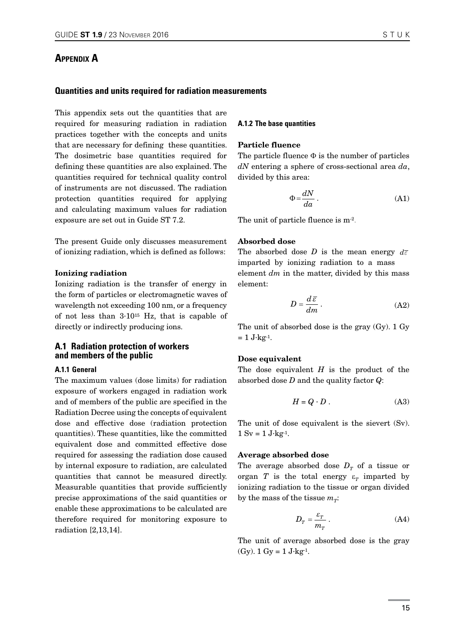## <span id="page-14-0"></span>**APPFNDIX A**

### **Quantities and units required for radiation measurements**

This appendix sets out the quantities that are required for measuring radiation in radiation practices together with the concepts and units that are necessary for defining these quantities. The dosimetric base quantities required for defining these quantities are also explained. The quantities required for technical quality control of instruments are not discussed. The radiation protection quantities required for applying and calculating maximum values for radiation exposure are set out in Guide ST 7.2.

The present Guide only discusses measurement of ionizing radiation, which is defined as follows:

#### Ionizing radiation

Ionizing radiation is the transfer of energy in the form of particles or electromagnetic waves of wavelength not exceeding 100 nm, or a frequency of not less than 3·1015 Hz, that is capable of directly or indirectly producing ions.

## **A.1 Radiation protection of workers and members of the public**

#### **A.1.1 General**

The maximum values (dose limits) for radiation exposure of workers engaged in radiation work and of members of the public are specified in the Radiation Decree using the concepts of equivalent dose and effective dose (radiation protection quantities). These quantities, like the committed equivalent dose and committed effective dose required for assessing the radiation dose caused by internal exposure to radiation, are calculated quantities that cannot be measured directly. Measurable quantities that provide sufficiently precise approximations of the said quantities or enable these approximations to be calculated are therefore required for monitoring exposure to radiation [2,13,14].

#### **A.1.2 The base quantities**

#### Particle fluence

The particle fluence  $\Phi$  is the number of particles *dN* entering a sphere of cross-sectional area *da*, divided by this area:

$$
\Phi = \frac{dN}{da} \,. \tag{A1}
$$

The unit of particle fluence is m-2.

#### Absorbed dose

The absorbed dose *D* is the mean energy  $d\bar{\varepsilon}$ imparted by ionizing radiation to a mass element *dm* in the matter, divided by this mass element:

$$
D = \frac{d\,\bar{\varepsilon}}{dm} \,. \tag{A2}
$$

The unit of absorbed dose is the gray (Gy). 1 Gy  $= 1$  J⋅kg⋅1.

#### Dose equivalent

The dose equivalent *H* is the product of the absorbed dose *D* and the quality factor *Q*:

$$
H = Q \cdot D \tag{A3}
$$

The unit of dose equivalent is the sievert (Sv).  $1 Sv = 1 J·kg<sup>-1</sup>.$ 

## Average absorbed dose

The average absorbed dose  $D<sub>r</sub>$  of a tissue or organ *T* is the total energy  $\varepsilon_T$  imparted by ionizing radiation to the tissue or organ divided by the mass of the tissue  $m<sub>T</sub>$ :

$$
D_T = \frac{\varepsilon_T}{m_T} \,. \tag{A4}
$$

The unit of average absorbed dose is the gray  $(Gy)$ . 1  $Gy = 1$  J⋅kg<sup>-1</sup>.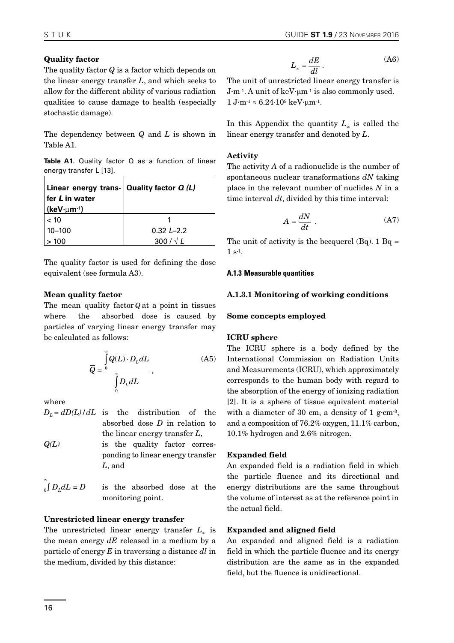## Quality factor

The quality factor *Q* is a factor which depends on the linear energy transfer *L*, and which seeks to allow for the different ability of various radiation qualities to cause damage to health (especially stochastic damage).

The dependency between *Q* and *L* is shown in Table A1.

**Table A1**. Quality factor Q as a function of linear energy transfer L [13].

| Linear energy trans- $\vert$ Quality factor Q (L)<br>$\vert$ fer $\boldsymbol{L}$ in water |                  |
|--------------------------------------------------------------------------------------------|------------------|
| $(keV·µm-1)$                                                                               |                  |
| $ $ < 10                                                                                   |                  |
| $10-100$                                                                                   | $0.32 L - 2.2$   |
| $\sim 100$                                                                                 | 300 / $\sqrt{L}$ |

The quality factor is used for defining the dose equivalent (see formula A3).

## Mean quality factor

The mean quality factor  $Q$  at a point in tissues where the absorbed dose is caused by particles of varying linear energy transfer may be calculated as follows:

$$
\overline{Q} = \underbrace{\int_{0}^{\infty} Q(L) \cdot D_L dL}_{\int_{0}^{\infty} D_L dL}, \qquad (A5)
$$

where

- $D_L = dD(L)/dL$  is the distribution of the absorbed dose *D* in relation to the linear energy transfer *L*, *Q(L)* is the quality factor corres
	- ponding to linear energy transfer *L*, and
- ∞  $\int_0$  *D<sub>L</sub>dL* = *D* is the absorbed dose at the monitoring point.

## Unrestricted linear energy transfer

The unrestricted linear energy transfer *L*∞ is the mean energy *dE* released in a medium by a particle of energy *E* in traversing a distance *dl* in the medium, divided by this distance:

$$
L_{\infty} = \frac{dE}{dl} \,. \tag{A6}
$$

The unit of unrestricted linear energy transfer is J∙m-1. A unit of keV∙µm-1 is also commonly used. 1 J∙m-1 ≈ 6.24⋅109 keV∙µm-1.

In this Appendix the quantity *L*∞ is called the linear energy transfer and denoted by *L*.

## Activity

The activity *A* of a radionuclide is the number of spontaneous nuclear transformations *dN* taking place in the relevant number of nuclides *N* in a time interval *dt*, divided by this time interval:

$$
A = \frac{dN}{dt} \tag{A7}
$$

The unit of activity is the becquerel  $(Bq)$ . 1 Bq = 1 s-1.

#### **A.1.3 Measurable quantities**

#### A.1.3.1 Monitoring of working conditions

#### Some concepts employed

#### ICRU sphere

The ICRU sphere is a body defined by the International Commission on Radiation Units and Measurements (ICRU), which approximately corresponds to the human body with regard to the absorption of the energy of ionizing radiation [2]. It is a sphere of tissue equivalent material with a diameter of 30 cm, a density of 1 g $\cdot$ cm<sup>-3</sup>, and a composition of 76.2% oxygen, 11.1% carbon, 10.1% hydrogen and 2.6% nitrogen.

#### Expanded field

An expanded field is a radiation field in which the particle fluence and its directional and energy distributions are the same throughout the volume of interest as at the reference point in the actual field.

## Expanded and aligned field

An expanded and aligned field is a radiation field in which the particle fluence and its energy distribution are the same as in the expanded field, but the fluence is unidirectional.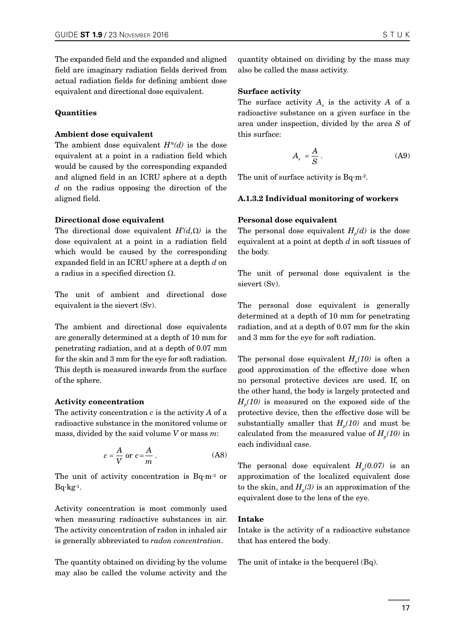The expanded field and the expanded and aligned field are imaginary radiation fields derived from actual radiation fields for defining ambient dose equivalent and directional dose equivalent.

#### **Quantities**

#### Ambient dose equivalent

The ambient dose equivalent  $H^*(d)$  is the dose equivalent at a point in a radiation field which would be caused by the corresponding expanded and aligned field in an ICRU sphere at a depth *d* on the radius opposing the direction of the aligned field.

#### Directional dose equivalent

The directional dose equivalent  $H'(d,\Omega)$  is the dose equivalent at a point in a radiation field which would be caused by the corresponding expanded field in an ICRU sphere at a depth *d* on a radius in a specified direction Ω.

The unit of ambient and directional dose equivalent is the sievert (Sv).

The ambient and directional dose equivalents are generally determined at a depth of 10 mm for penetrating radiation, and at a depth of 0.07 mm for the skin and 3 mm for the eye for soft radiation. This depth is measured inwards from the surface of the sphere.

#### Activity concentration

The activity concentration *c* is the activity *A* of a radioactive substance in the monitored volume or mass, divided by the said volume *V* or mass *m*:

$$
c = \frac{A}{V} \text{ or } c = \frac{A}{m} \,. \tag{A8}
$$

The unit of activity concentration is Bq∙m-3 or Bq∙kg-1.

Activity concentration is most commonly used when measuring radioactive substances in air. The activity concentration of radon in inhaled air is generally abbreviated to *radon concentration*.

The quantity obtained on dividing by the volume may also be called the volume activity and the quantity obtained on dividing by the mass may also be called the mass activity.

#### Surface activity

The surface activity  $A_s$  is the activity  $A$  of a radioactive substance on a given surface in the area under inspection, divided by the area *S* of this surface:

$$
A_s = \frac{A}{S} \,. \tag{A9}
$$

The unit of surface activity is Bq∙m-2.

#### A.1.3.2 Individual monitoring of workers

#### Personal dose equivalent

The personal dose equivalent  $H_n(d)$  is the dose equivalent at a point at depth *d* in soft tissues of the body.

The unit of personal dose equivalent is the sievert (Sv).

The personal dose equivalent is generally determined at a depth of 10 mm for penetrating radiation, and at a depth of 0.07 mm for the skin and 3 mm for the eye for soft radiation.

The personal dose equivalent  $H_n(10)$  is often a good approximation of the effective dose when no personal protective devices are used. If, on the other hand, the body is largely protected and  $H_n(10)$  is measured on the exposed side of the protective device, then the effective dose will be substantially smaller that  $H_n(10)$  and must be calculated from the measured value of  $H<sub>n</sub>(10)$  in each individual case.

The personal dose equivalent  $H_p(0.07)$  is an approximation of the localized equivalent dose to the skin, and  $H_p(3)$  is an approximation of the equivalent dose to the lens of the eye.

#### Intake

Intake is the activity of a radioactive substance that has entered the body.

The unit of intake is the becquerel (Bq).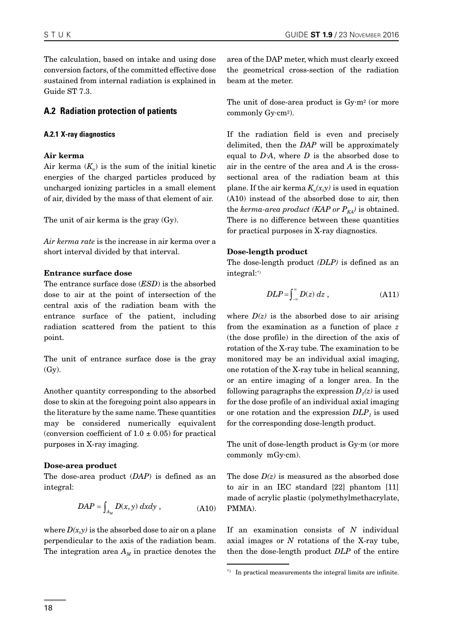The calculation, based on intake and using dose conversion factors, of the committed effective dose sustained from internal radiation is explained in Guide ST 7.3.

## **A.2 Radiation protection of patients**

#### **A.2.1 X-ray diagnostics**

#### Air kerma

Air kerma  $(K_a)$  is the sum of the initial kinetic energies of the charged particles produced by uncharged ionizing particles in a small element of air, divided by the mass of that element of air.

The unit of air kerma is the gray (Gy).

*Air kerma rate* is the increase in air kerma over a short interval divided by that interval.

### Entrance surface dose

The entrance surface dose (*ESD*) is the absorbed dose to air at the point of intersection of the central axis of the radiation beam with the entrance surface of the patient, including radiation scattered from the patient to this point.

The unit of entrance surface dose is the gray (Gy).

Another quantity corresponding to the absorbed dose to skin at the foregoing point also appears in the literature by the same name. These quantities may be considered numerically equivalent (conversion coefficient of  $1.0 \pm 0.05$ ) for practical purposes in X-ray imaging.

#### Dose-area product

The dose-area product (*DAP*) is defined as an integral:

$$
DAP = \int_{A_M} D(x, y) \, dxdy \,, \tag{A10}
$$

where  $D(x, y)$  is the absorbed dose to air on a plane perpendicular to the axis of the radiation beam. The integration area  $A_M$  in practice denotes the area of the DAP meter, which must clearly exceed the geometrical cross-section of the radiation beam at the meter.

The unit of dose-area product is Gy∙m2 (or more commonly Gy∙cm2).

If the radiation field is even and precisely delimited, then the *DAP* will be approximately equal to *D*∙*A*, where *D* is the absorbed dose to air in the centre of the area and *A* is the crosssectional area of the radiation beam at this plane. If the air kerma  $K_a(x, y)$  is used in equation (A10) instead of the absorbed dose to air, then the *kerma-area product* (KAP or  $P_{K\text{A}}$ ) is obtained. There is no difference between these quantities for practical purposes in X-ray diagnostics.

#### Dose-length product

The dose-length product *(DLP)* is defined as an integral:\*)

$$
DLP = \int_{-\infty}^{\infty} D(z) \, dz \;, \tag{A11}
$$

where  $D(z)$  is the absorbed dose to air arising from the examination as a function of place *z* (the dose profile) in the direction of the axis of rotation of the X-ray tube. The examination to be monitored may be an individual axial imaging, one rotation of the X-ray tube in helical scanning, or an entire imaging of a longer area. In the following paragraphs the expression  $D_1(z)$  is used for the dose profile of an individual axial imaging or one rotation and the expression  $DLP<sub>1</sub>$  is used for the corresponding dose-length product.

The unit of dose-length product is Gy·m (or more commonly mGy·cm).

The dose *D(z)* is measured as the absorbed dose to air in an IEC standard [22] phantom [11] made of acrylic plastic (polymethylmethacrylate, PMMA).

If an examination consists of *N* individual axial images or *N* rotations of the X-ray tube, then the dose-length product *DLP* of the entire

<sup>\*)</sup> In practical measurements the integral limits are infinite.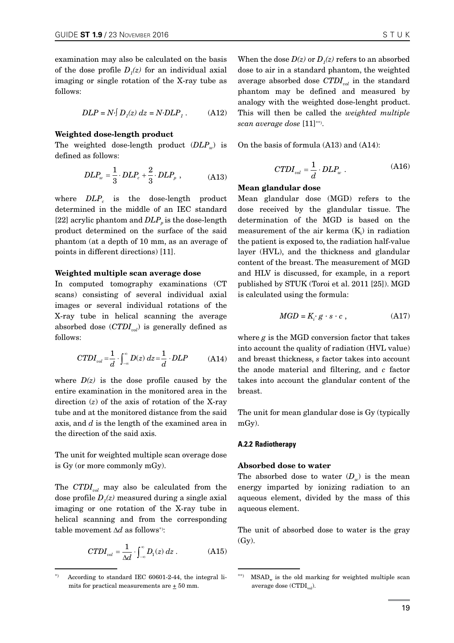examination may also be calculated on the basis of the dose profile  $D_1(z)$  for an individual axial imaging or single rotation of the X-ray tube as follows:

$$
DLP = N \cdot \int D_1(z) \, dz = N \cdot DLP_1 \,. \tag{A12}
$$

#### Weighted dose-length product

The weighted dose-length product  $(DLP<sub>w</sub>)$  is defined as follows:

$$
DLP_w = \frac{1}{3} \cdot DLP_c + \frac{2}{3} \cdot DLP_p \,, \tag{A13}
$$

where *DLP<sub>c</sub>* is the dose-length product determined in the middle of an IEC standard [22] acrylic phantom and  $DLP<sub>p</sub>$  is the dose-length product determined on the surface of the said phantom (at a depth of 10 mm, as an average of points in different directions) [11].

#### Weighted multiple scan average dose

In computed tomography examinations (CT scans) consisting of several individual axial images or several individual rotations of the X-ray tube in helical scanning the average absorbed dose  $(TDI_{vol})$  is generally defined as follows:

$$
CTDI_{vol} = \frac{1}{d} \cdot \int_{-\infty}^{\infty} D(z) dz = \frac{1}{d} \cdot DLP
$$
 (A14)

where  $D(z)$  is the dose profile caused by the entire examination in the monitored area in the direction (*z*) of the axis of rotation of the X-ray tube and at the monitored distance from the said axis, and *d* is the length of the examined area in the direction of the said axis.

The unit for weighted multiple scan overage dose is Gy (or more commonly mGy).

The *CTDIvol* may also be calculated from the dose profile  $D_1(z)$  measured during a single axial imaging or one rotation of the X-ray tube in helical scanning and from the corresponding table movement ∆*d* as follows\*) :

$$
CTDI_{vol} = \frac{1}{\Delta d} \cdot \int_{-\infty}^{\infty} D_1(z) dz .
$$
 (A15)

When the dose  $D(z)$  or  $D_1(z)$  refers to an absorbed dose to air in a standard phantom, the weighted average absorbed dose *CTDI<sub>vol</sub>* in the standard phantom may be defined and measured by analogy with the weighted dose-lenght product. This will then be called the *weighted multiple scan average dose* [11]\*\*) .

On the basis of formula (A13) and (A14):

$$
CTDI_{vol} = \frac{1}{d} \cdot DLP_w \ . \tag{A16}
$$

#### Mean glandular dose

Mean glandular dose (MGD) refers to the dose received by the glandular tissue. The determination of the MGD is based on the measurement of the air kerma  $(K_i)$  in radiation the patient is exposed to, the radiation half-value layer (HVL), and the thickness and glandular content of the breast. The measurement of MGD and HLV is discussed, for example, in a report published by STUK (Toroi et al. 2011 [25]). MGD is calculated using the formula:

$$
MGD = K_i \cdot g \cdot s \cdot c \tag{A17}
$$

where  $g$  is the MGD conversion factor that takes into account the quality of radiation (HVL value) and breast thickness, *s* factor takes into account the anode material and filtering, and *c* factor takes into account the glandular content of the breast.

The unit for mean glandular dose is Gy (typically mGy).

#### **A.2.2 Radiotherapy**

#### Absorbed dose to water

The absorbed dose to water  $(D_{\mu})$  is the mean energy imparted by ionizing radiation to an aqueous element, divided by the mass of this aqueous element.

The unit of absorbed dose to water is the gray (Gy).

According to standard IEC 60601-2-44, the integral limits for practical measurements are  $\pm$  50 mm.

 $MSAD_w$  is the old marking for weighted multiple scan average dose  $(CTDI_{vol})$ .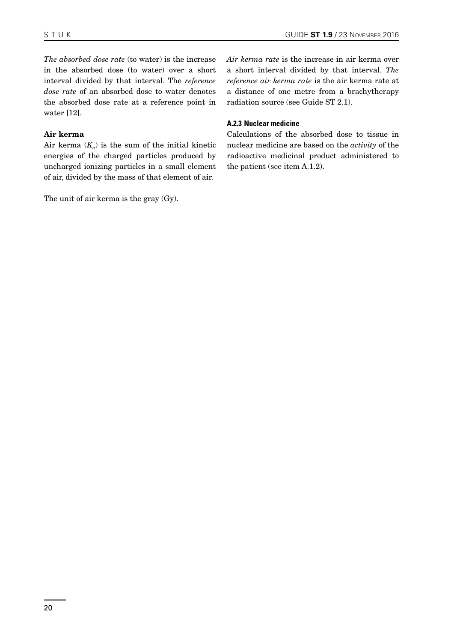*The absorbed dose rate* (to water) is the increase in the absorbed dose (to water) over a short interval divided by that interval. The *reference dose rate* of an absorbed dose to water denotes the absorbed dose rate at a reference point in water [12].

## Air kerma

Air kerma  $(K_a)$  is the sum of the initial kinetic energies of the charged particles produced by uncharged ionizing particles in a small element of air, divided by the mass of that element of air.

The unit of air kerma is the gray (Gy).

*Air kerma rate* is the increase in air kerma over a short interval divided by that interval. *The reference air kerma rate* is the air kerma rate at a distance of one metre from a brachytherapy radiation source (see Guide ST 2.1).

## **A.2.3 Nuclear medicine**

Calculations of the absorbed dose to tissue in nuclear medicine are based on the *activity* of the radioactive medicinal product administered to the patient (see item A.1.2).